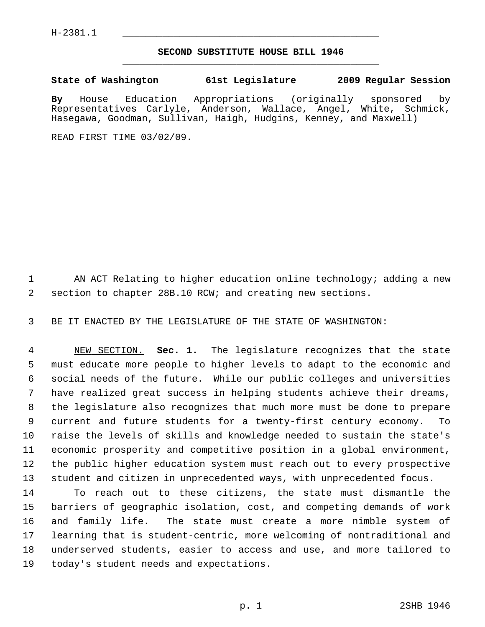## **SECOND SUBSTITUTE HOUSE BILL 1946** \_\_\_\_\_\_\_\_\_\_\_\_\_\_\_\_\_\_\_\_\_\_\_\_\_\_\_\_\_\_\_\_\_\_\_\_\_\_\_\_\_\_\_\_\_

## **State of Washington 61st Legislature 2009 Regular Session**

**By** House Education Appropriations (originally sponsored by Representatives Carlyle, Anderson, Wallace, Angel, White, Schmick, Hasegawa, Goodman, Sullivan, Haigh, Hudgins, Kenney, and Maxwell)

READ FIRST TIME 03/02/09.

1 AN ACT Relating to higher education online technology; adding a new 2 section to chapter 28B.10 RCW; and creating new sections.

3 BE IT ENACTED BY THE LEGISLATURE OF THE STATE OF WASHINGTON:

 4 NEW SECTION. **Sec. 1.** The legislature recognizes that the state 5 must educate more people to higher levels to adapt to the economic and 6 social needs of the future. While our public colleges and universities 7 have realized great success in helping students achieve their dreams, 8 the legislature also recognizes that much more must be done to prepare 9 current and future students for a twenty-first century economy. To 10 raise the levels of skills and knowledge needed to sustain the state's 11 economic prosperity and competitive position in a global environment, 12 the public higher education system must reach out to every prospective 13 student and citizen in unprecedented ways, with unprecedented focus.

14 To reach out to these citizens, the state must dismantle the 15 barriers of geographic isolation, cost, and competing demands of work 16 and family life. The state must create a more nimble system of 17 learning that is student-centric, more welcoming of nontraditional and 18 underserved students, easier to access and use, and more tailored to 19 today's student needs and expectations.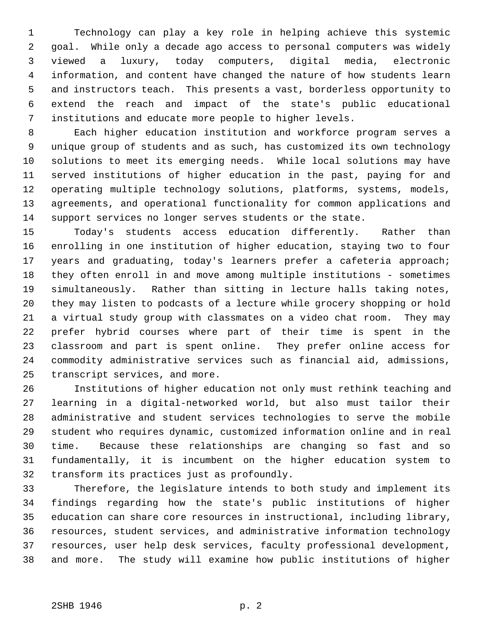1 Technology can play a key role in helping achieve this systemic 2 goal. While only a decade ago access to personal computers was widely 3 viewed a luxury, today computers, digital media, electronic 4 information, and content have changed the nature of how students learn 5 and instructors teach. This presents a vast, borderless opportunity to 6 extend the reach and impact of the state's public educational 7 institutions and educate more people to higher levels.

 8 Each higher education institution and workforce program serves a 9 unique group of students and as such, has customized its own technology 10 solutions to meet its emerging needs. While local solutions may have 11 served institutions of higher education in the past, paying for and 12 operating multiple technology solutions, platforms, systems, models, 13 agreements, and operational functionality for common applications and 14 support services no longer serves students or the state.

15 Today's students access education differently. Rather than 16 enrolling in one institution of higher education, staying two to four 17 years and graduating, today's learners prefer a cafeteria approach; 18 they often enroll in and move among multiple institutions - sometimes 19 simultaneously. Rather than sitting in lecture halls taking notes, 20 they may listen to podcasts of a lecture while grocery shopping or hold 21 a virtual study group with classmates on a video chat room. They may 22 prefer hybrid courses where part of their time is spent in the 23 classroom and part is spent online. They prefer online access for 24 commodity administrative services such as financial aid, admissions, 25 transcript services, and more.

26 Institutions of higher education not only must rethink teaching and 27 learning in a digital-networked world, but also must tailor their 28 administrative and student services technologies to serve the mobile 29 student who requires dynamic, customized information online and in real 30 time. Because these relationships are changing so fast and so 31 fundamentally, it is incumbent on the higher education system to 32 transform its practices just as profoundly.

33 Therefore, the legislature intends to both study and implement its 34 findings regarding how the state's public institutions of higher 35 education can share core resources in instructional, including library, 36 resources, student services, and administrative information technology 37 resources, user help desk services, faculty professional development, 38 and more. The study will examine how public institutions of higher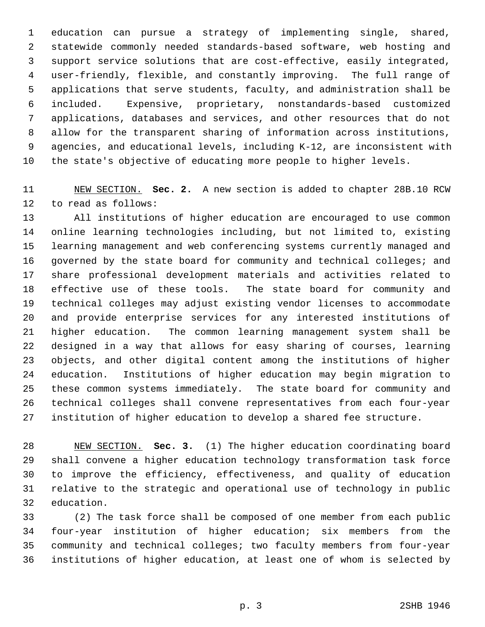1 education can pursue a strategy of implementing single, shared, 2 statewide commonly needed standards-based software, web hosting and 3 support service solutions that are cost-effective, easily integrated, 4 user-friendly, flexible, and constantly improving. The full range of 5 applications that serve students, faculty, and administration shall be 6 included. Expensive, proprietary, nonstandards-based customized 7 applications, databases and services, and other resources that do not 8 allow for the transparent sharing of information across institutions, 9 agencies, and educational levels, including K-12, are inconsistent with 10 the state's objective of educating more people to higher levels.

11 NEW SECTION. **Sec. 2.** A new section is added to chapter 28B.10 RCW 12 to read as follows:

13 All institutions of higher education are encouraged to use common 14 online learning technologies including, but not limited to, existing 15 learning management and web conferencing systems currently managed and 16 governed by the state board for community and technical colleges; and 17 share professional development materials and activities related to 18 effective use of these tools. The state board for community and 19 technical colleges may adjust existing vendor licenses to accommodate 20 and provide enterprise services for any interested institutions of 21 higher education. The common learning management system shall be 22 designed in a way that allows for easy sharing of courses, learning 23 objects, and other digital content among the institutions of higher 24 education. Institutions of higher education may begin migration to 25 these common systems immediately. The state board for community and 26 technical colleges shall convene representatives from each four-year 27 institution of higher education to develop a shared fee structure.

28 NEW SECTION. **Sec. 3.** (1) The higher education coordinating board 29 shall convene a higher education technology transformation task force 30 to improve the efficiency, effectiveness, and quality of education 31 relative to the strategic and operational use of technology in public 32 education.

33 (2) The task force shall be composed of one member from each public 34 four-year institution of higher education; six members from the 35 community and technical colleges; two faculty members from four-year 36 institutions of higher education, at least one of whom is selected by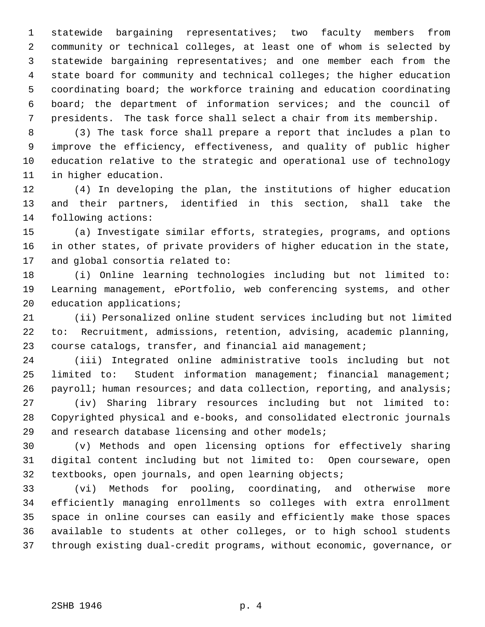1 statewide bargaining representatives; two faculty members from 2 community or technical colleges, at least one of whom is selected by 3 statewide bargaining representatives; and one member each from the 4 state board for community and technical colleges; the higher education 5 coordinating board; the workforce training and education coordinating 6 board; the department of information services; and the council of 7 presidents. The task force shall select a chair from its membership.

 8 (3) The task force shall prepare a report that includes a plan to 9 improve the efficiency, effectiveness, and quality of public higher 10 education relative to the strategic and operational use of technology 11 in higher education.

12 (4) In developing the plan, the institutions of higher education 13 and their partners, identified in this section, shall take the 14 following actions:

15 (a) Investigate similar efforts, strategies, programs, and options 16 in other states, of private providers of higher education in the state, 17 and global consortia related to:

18 (i) Online learning technologies including but not limited to: 19 Learning management, ePortfolio, web conferencing systems, and other 20 education applications;

21 (ii) Personalized online student services including but not limited 22 to: Recruitment, admissions, retention, advising, academic planning, 23 course catalogs, transfer, and financial aid management;

24 (iii) Integrated online administrative tools including but not 25 limited to: Student information management; financial management; 26 payroll; human resources; and data collection, reporting, and analysis;

27 (iv) Sharing library resources including but not limited to: 28 Copyrighted physical and e-books, and consolidated electronic journals 29 and research database licensing and other models;

30 (v) Methods and open licensing options for effectively sharing 31 digital content including but not limited to: Open courseware, open 32 textbooks, open journals, and open learning objects;

33 (vi) Methods for pooling, coordinating, and otherwise more 34 efficiently managing enrollments so colleges with extra enrollment 35 space in online courses can easily and efficiently make those spaces 36 available to students at other colleges, or to high school students 37 through existing dual-credit programs, without economic, governance, or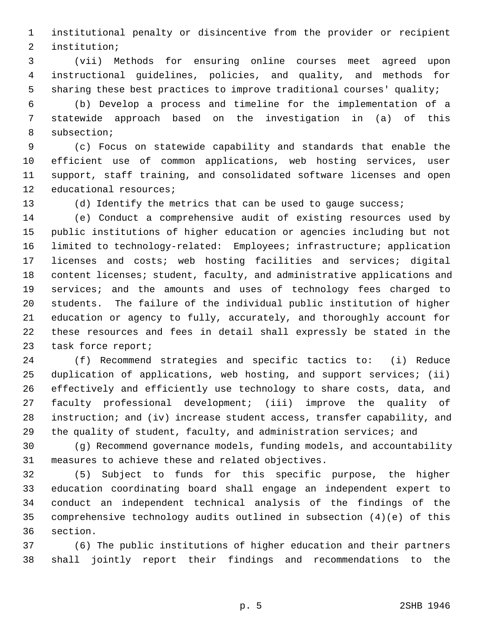1 institutional penalty or disincentive from the provider or recipient 2 institution;

 3 (vii) Methods for ensuring online courses meet agreed upon 4 instructional guidelines, policies, and quality, and methods for 5 sharing these best practices to improve traditional courses' quality;

 6 (b) Develop a process and timeline for the implementation of a 7 statewide approach based on the investigation in (a) of this 8 subsection;

 9 (c) Focus on statewide capability and standards that enable the 10 efficient use of common applications, web hosting services, user 11 support, staff training, and consolidated software licenses and open 12 educational resources;

13 (d) Identify the metrics that can be used to gauge success;

14 (e) Conduct a comprehensive audit of existing resources used by 15 public institutions of higher education or agencies including but not 16 limited to technology-related: Employees; infrastructure; application 17 licenses and costs; web hosting facilities and services; digital 18 content licenses; student, faculty, and administrative applications and 19 services; and the amounts and uses of technology fees charged to 20 students. The failure of the individual public institution of higher 21 education or agency to fully, accurately, and thoroughly account for 22 these resources and fees in detail shall expressly be stated in the 23 task force report;

24 (f) Recommend strategies and specific tactics to: (i) Reduce 25 duplication of applications, web hosting, and support services; (ii) 26 effectively and efficiently use technology to share costs, data, and 27 faculty professional development; (iii) improve the quality of 28 instruction; and (iv) increase student access, transfer capability, and 29 the quality of student, faculty, and administration services; and

30 (g) Recommend governance models, funding models, and accountability 31 measures to achieve these and related objectives.

32 (5) Subject to funds for this specific purpose, the higher 33 education coordinating board shall engage an independent expert to 34 conduct an independent technical analysis of the findings of the 35 comprehensive technology audits outlined in subsection (4)(e) of this 36 section.

37 (6) The public institutions of higher education and their partners 38 shall jointly report their findings and recommendations to the